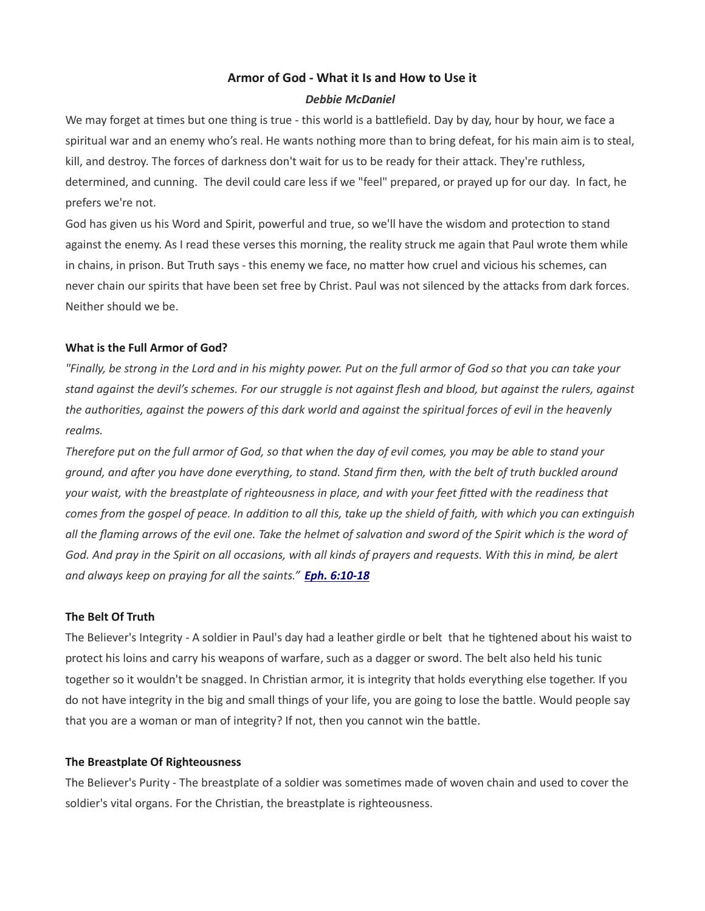# Armor of God - What it Is and How to Use it Debbie McDaniel

We may forget at times but one thing is true - this world is a battlefield. Day by day, hour by hour, we face a spiritual war and an enemy who's real. He wants nothing more than to bring defeat, for his main aim is to steal, kill, and destroy. The forces of darkness don't wait for us to be ready for their attack. They're ruthless, determined, and cunning. The devil could care less if we "feel" prepared, or prayed up for our day. In fact, he prefers we're not.

God has given us his Word and Spirit, powerful and true, so we'll have the wisdom and protection to stand against the enemy. As I read these verses this morning, the reality struck me again that Paul wrote them while in chains, in prison. But Truth says - this enemy we face, no matter how cruel and vicious his schemes, can never chain our spirits that have been set free by Christ. Paul was not silenced by the attacks from dark forces. Neither should we be.

## What is the Full Armor of God?

"Finally, be strong in the Lord and in his mighty power. Put on the full armor of God so that you can take your stand against the devil's schemes. For our struggle is not against flesh and blood, but against the rulers, against the authorities, against the powers of this dark world and against the spiritual forces of evil in the heavenly realms.

Therefore put on the full armor of God, so that when the day of evil comes, you may be able to stand your ground, and after you have done everything, to stand. Stand firm then, with the belt of truth buckled around your waist, with the breastplate of righteousness in place, and with your feet fitted with the readiness that comes from the gospel of peace. In addition to all this, take up the shield of faith, with which you can extinguish all the flaming arrows of the evil one. Take the helmet of salvation and sword of the Spirit which is the word of God. And pray in the Spirit on all occasions, with all kinds of prayers and requests. With this in mind, be alert and always keep on praying for all the saints." **Eph. 6:10-18** 

## The Belt Of Truth

The Believer's Integrity - A soldier in Paul's day had a leather girdle or belt that he tightened about his waist to protect his loins and carry his weapons of warfare, such as a dagger or sword. The belt also held his tunic together so it wouldn't be snagged. In Christian armor, it is integrity that holds everything else together. If you do not have integrity in the big and small things of your life, you are going to lose the baƩle. Would people say that you are a woman or man of integrity? If not, then you cannot win the battle.

## The Breastplate Of Righteousness

The Believer's Purity - The breastplate of a soldier was sometimes made of woven chain and used to cover the soldier's vital organs. For the Christian, the breastplate is righteousness.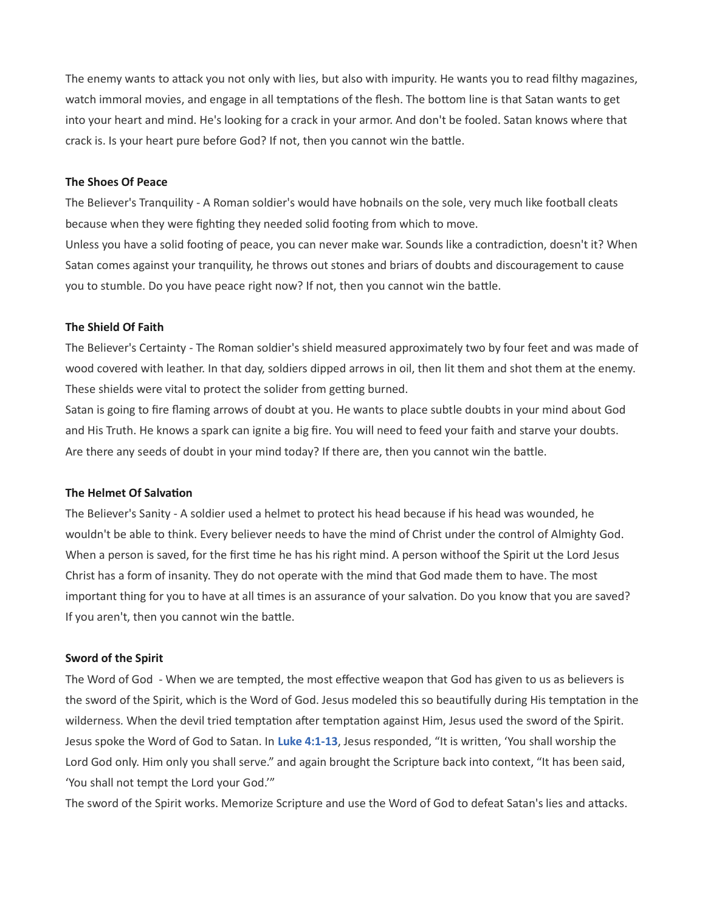The enemy wants to attack you not only with lies, but also with impurity. He wants you to read filthy magazines, watch immoral movies, and engage in all temptations of the flesh. The bottom line is that Satan wants to get into your heart and mind. He's looking for a crack in your armor. And don't be fooled. Satan knows where that crack is. Is your heart pure before God? If not, then you cannot win the battle.

### The Shoes Of Peace

The Believer's Tranquility - A Roman soldier's would have hobnails on the sole, very much like football cleats because when they were fighting they needed solid footing from which to move.

Unless you have a solid footing of peace, you can never make war. Sounds like a contradiction, doesn't it? When Satan comes against your tranquility, he throws out stones and briars of doubts and discouragement to cause you to stumble. Do you have peace right now? If not, then you cannot win the battle.

### The Shield Of Faith

The Believer's Certainty - The Roman soldier's shield measured approximately two by four feet and was made of wood covered with leather. In that day, soldiers dipped arrows in oil, then lit them and shot them at the enemy. These shields were vital to protect the solider from getting burned.

Satan is going to fire flaming arrows of doubt at you. He wants to place subtle doubts in your mind about God and His Truth. He knows a spark can ignite a big fire. You will need to feed your faith and starve your doubts. Are there any seeds of doubt in your mind today? If there are, then you cannot win the battle.

### The Helmet Of Salvation

The Believer's Sanity - A soldier used a helmet to protect his head because if his head was wounded, he wouldn't be able to think. Every believer needs to have the mind of Christ under the control of Almighty God. When a person is saved, for the first time he has his right mind. A person withoof the Spirit ut the Lord Jesus Christ has a form of insanity. They do not operate with the mind that God made them to have. The most important thing for you to have at all times is an assurance of your salvation. Do you know that you are saved? If you aren't, then you cannot win the battle.

#### Sword of the Spirit

The Word of God - When we are tempted, the most effective weapon that God has given to us as believers is the sword of the Spirit, which is the Word of God. Jesus modeled this so beautifully during His temptation in the wilderness. When the devil tried temptation after temptation against Him, Jesus used the sword of the Spirit. Jesus spoke the Word of God to Satan. In Luke 4:1-13, Jesus responded, "It is written, 'You shall worship the Lord God only. Him only you shall serve." and again brought the Scripture back into context, "It has been said, 'You shall not tempt the Lord your God.'"

The sword of the Spirit works. Memorize Scripture and use the Word of God to defeat Satan's lies and attacks.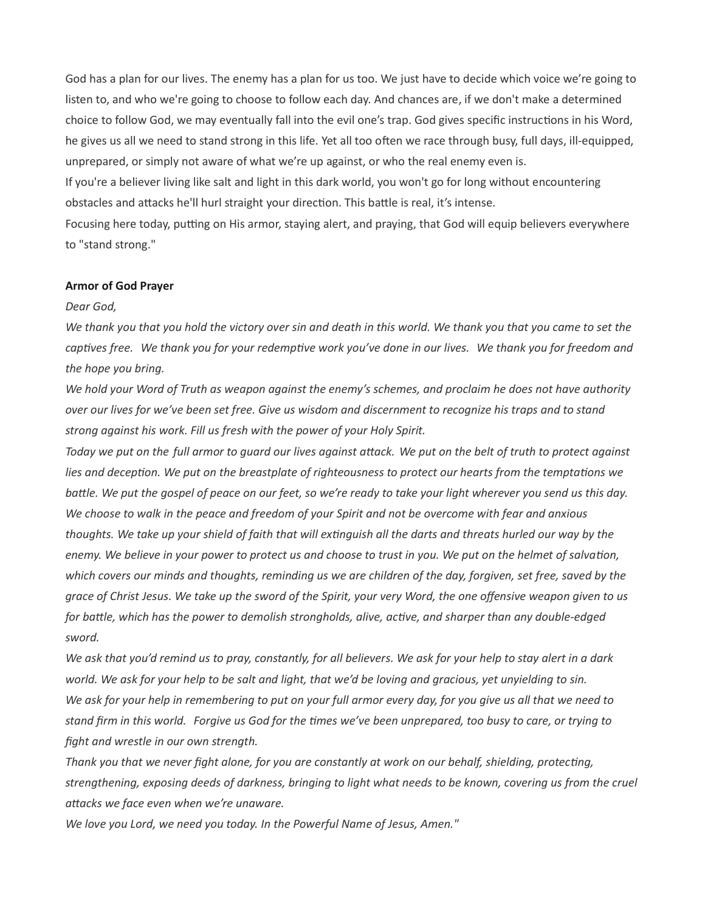God has a plan for our lives. The enemy has a plan for us too. We just have to decide which voice we're going to listen to, and who we're going to choose to follow each day. And chances are, if we don't make a determined choice to follow God, we may eventually fall into the evil one's trap. God gives specific instructions in his Word, he gives us all we need to stand strong in this life. Yet all too often we race through busy, full days, ill-equipped, unprepared, or simply not aware of what we're up against, or who the real enemy even is.

If you're a believer living like salt and light in this dark world, you won't go for long without encountering obstacles and attacks he'll hurl straight your direction. This battle is real, it's intense.

Focusing here today, putting on His armor, staying alert, and praying, that God will equip believers everywhere to "stand strong."

#### Armor of God Prayer

#### Dear God,

We thank you that you hold the victory over sin and death in this world. We thank you that you came to set the captives free. We thank you for your redemptive work you've done in our lives. We thank you for freedom and the hope you bring.

We hold your Word of Truth as weapon against the enemy's schemes, and proclaim he does not have authority over our lives for we've been set free. Give us wisdom and discernment to recognize his traps and to stand strong against his work. Fill us fresh with the power of your Holy Spirit.

Today we put on the full armor to quard our lives against attack. We put on the belt of truth to protect against lies and deception. We put on the breastplate of righteousness to protect our hearts from the temptations we battle. We put the gospel of peace on our feet, so we're ready to take your light wherever you send us this day. We choose to walk in the peace and freedom of your Spirit and not be overcome with fear and anxious thoughts. We take up your shield of faith that will extinguish all the darts and threats hurled our way by the enemy. We believe in your power to protect us and choose to trust in you. We put on the helmet of salvation, which covers our minds and thoughts, reminding us we are children of the day, forgiven, set free, saved by the grace of Christ Jesus. We take up the sword of the Spirit, your very Word, the one offensive weapon given to us for battle, which has the power to demolish strongholds, alive, active, and sharper than any double-edged sword.

We ask that you'd remind us to pray, constantly, for all believers. We ask for your help to stay alert in a dark world. We ask for your help to be salt and light, that we'd be loving and gracious, yet unyielding to sin. We ask for your help in remembering to put on your full armor every day, for you give us all that we need to stand firm in this world. Forgive us God for the times we've been unprepared, too busy to care, or trying to fight and wrestle in our own strength.

Thank you that we never fight alone, for you are constantly at work on our behalf, shielding, protecting, strengthening, exposing deeds of darkness, bringing to light what needs to be known, covering us from the cruel attacks we face even when we're unaware.

We love you Lord, we need you today. In the Powerful Name of Jesus, Amen."